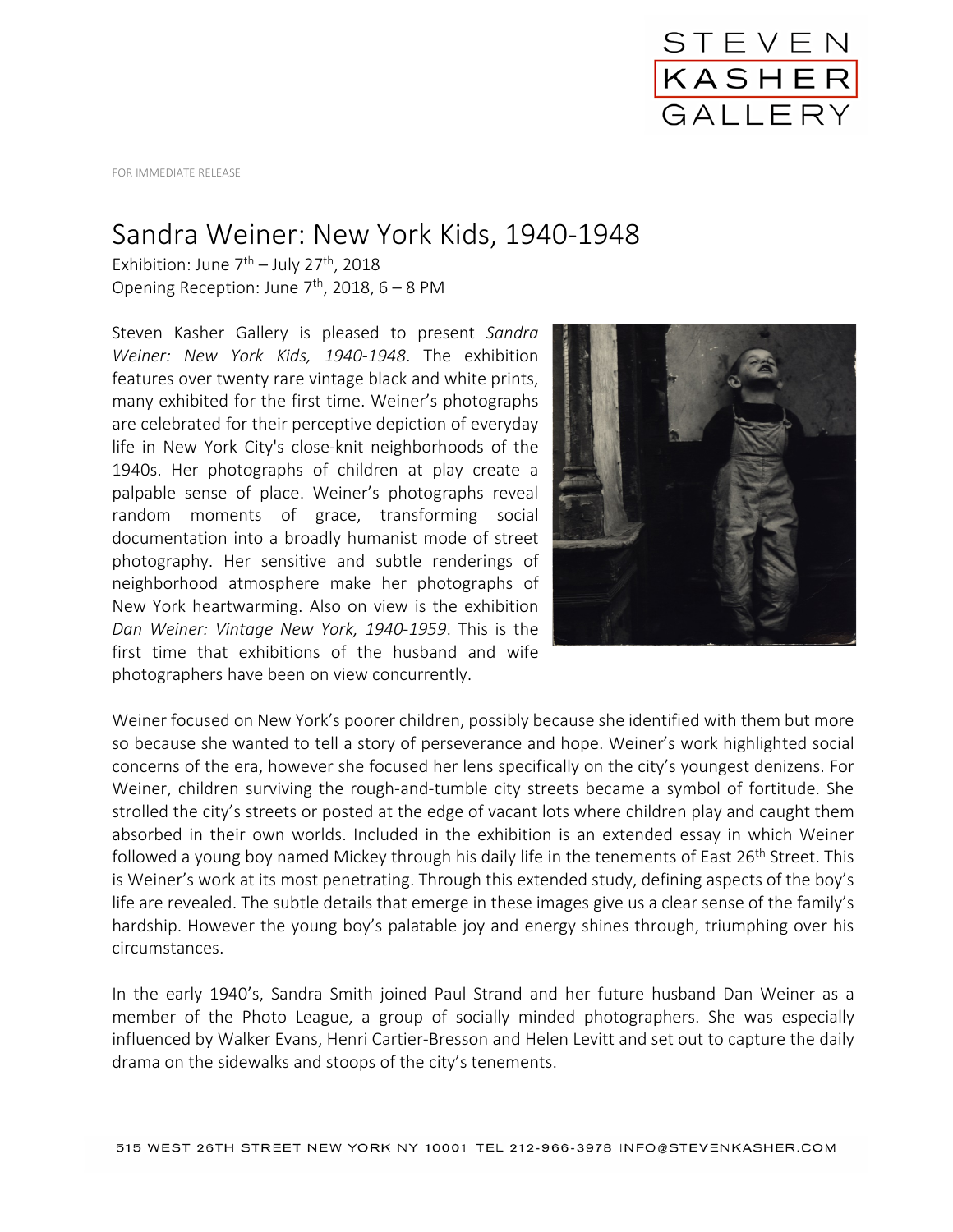

FOR IMMEDIATE RELEASE

## Sandra Weiner: New York Kids, 1940-1948

Exhibition: June  $7<sup>th</sup>$  – July 27<sup>th</sup>, 2018 Opening Reception: June  $7<sup>th</sup>$ , 2018, 6 – 8 PM

Steven Kasher Gallery is pleased to present *Sandra Weiner: New York Kids, 1940-1948*. The exhibition features over twenty rare vintage black and white prints, many exhibited for the first time. Weiner's photographs are celebrated for their perceptive depiction of everyday life in New York City's close-knit neighborhoods of the 1940s. Her photographs of children at play create a palpable sense of place. Weiner's photographs reveal random moments of grace, transforming social documentation into a broadly humanist mode of street photography. Her sensitive and subtle renderings of neighborhood atmosphere make her photographs of New York heartwarming. Also on view is the exhibition *Dan Weiner: Vintage New York, 1940-1959*. This is the first time that exhibitions of the husband and wife photographers have been on view concurrently.



Weiner focused on New York's poorer children, possibly because she identified with them but more so because she wanted to tell a story of perseverance and hope. Weiner's work highlighted social concerns of the era, however she focused her lens specifically on the city's youngest denizens. For Weiner, children surviving the rough-and-tumble city streets became a symbol of fortitude. She strolled the city's streets or posted at the edge of vacant lots where children play and caught them absorbed in their own worlds. Included in the exhibition is an extended essay in which Weiner followed a young boy named Mickey through his daily life in the tenements of East  $26^{th}$  Street. This is Weiner's work at its most penetrating. Through this extended study, defining aspects of the boy's life are revealed. The subtle details that emerge in these images give us a clear sense of the family's hardship. However the young boy's palatable joy and energy shines through, triumphing over his circumstances.

In the early 1940's, Sandra Smith joined Paul Strand and her future husband Dan Weiner as a member of the Photo League, a group of socially minded photographers. She was especially influenced by Walker Evans, Henri Cartier-Bresson and Helen Levitt and set out to capture the daily drama on the sidewalks and stoops of the city's tenements.